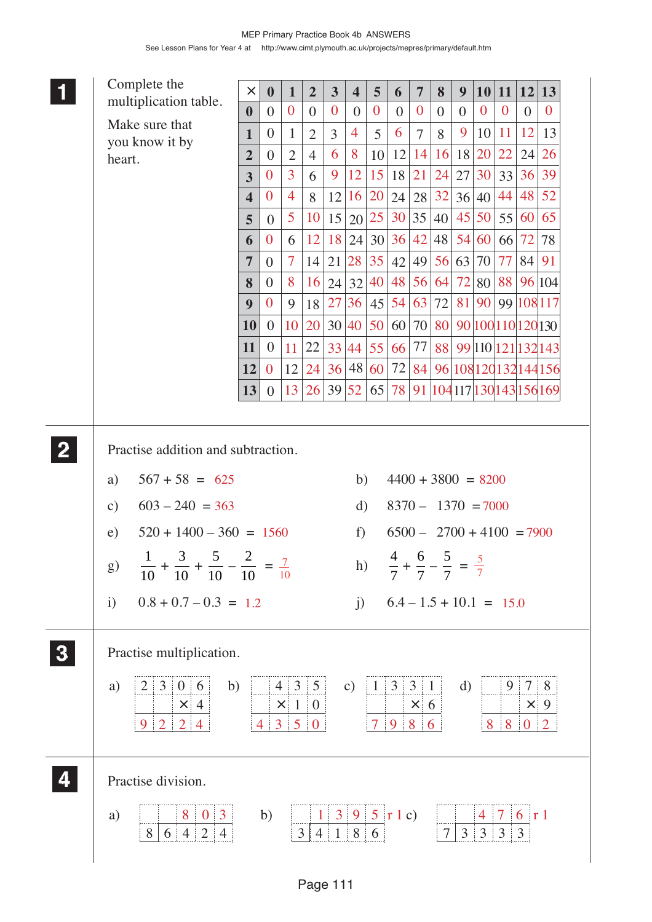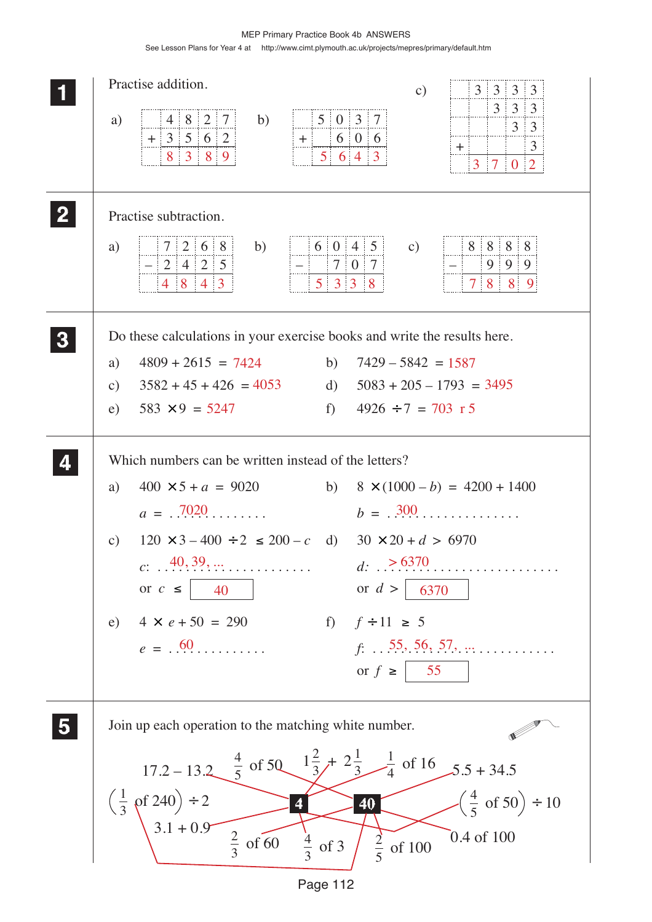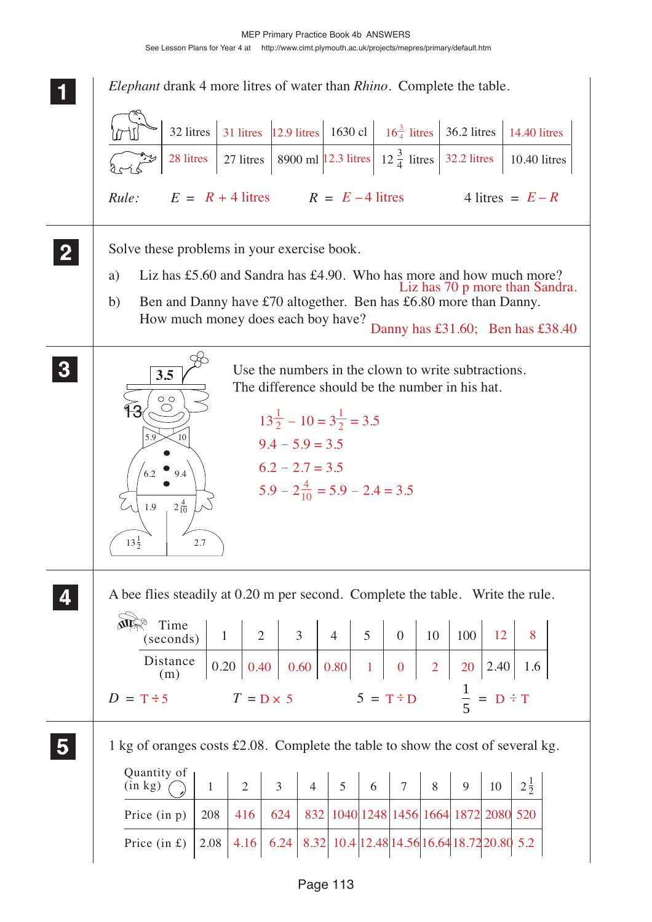MEP Primary Practice Book 4b ANSWERS See Lesson Plans for Year 4 at http://www.cimt.plymouth.ac.uk/projects/mepres/primary/default.htm

| <i>Elephant</i> drank 4 more litres of water than <i>Rhino</i> . Complete the table.                                                                                                                                                                                                                                                      |
|-------------------------------------------------------------------------------------------------------------------------------------------------------------------------------------------------------------------------------------------------------------------------------------------------------------------------------------------|
| 31 litres 12.9 litres 1630 cl $\left  \right $ 16 $\frac{3}{4}$ litres 16.2 litres 14.40 litres<br>32 litres                                                                                                                                                                                                                              |
| 8900 ml $\left  12.3 \text{ litres} \right $ $12\frac{3}{4}$ litres $\left  32.2 \text{ litres} \right $<br>28 litres<br>$27$ litres<br>10.40 litres                                                                                                                                                                                      |
| $E = R + 4$ litres $R = E - 4$ litres<br>4 litres = $E - R$<br>Rule:                                                                                                                                                                                                                                                                      |
| Solve these problems in your exercise book.<br>Liz has £5.60 and Sandra has £4.90. Who has more and how much more?<br>a)<br>Liz has 70 p more than Sandra.<br>Ben and Danny have £70 altogether. Ben has £6.80 more than Danny.<br>b)<br>How much money does each boy have?                                                               |
| Danny has £31.60; Ben has £38.40                                                                                                                                                                                                                                                                                                          |
| Use the numbers in the clown to write subtractions.<br>3.5<br>The difference should be the number in his hat.<br>$\circ$<br>$13\frac{1}{2} - 10 = 3\frac{1}{2} = 3.5$<br>5.9<br>10<br>$9.4 - 5.9 = 3.5$<br>$6.2 - 2.7 = 3.5$<br>6.2<br>9.4<br>$5.9 - 2\frac{4}{10} = 5.9 - 2.4 = 3.5$<br>$2\frac{4}{10}$<br>1.9<br>$13\frac{1}{2}$<br>2.7 |
| A bee flies steadily at 0.20 m per second. Complete the table. Write the rule.<br>Time<br>$\overline{3}$<br>5<br>12<br>8<br>$\overline{2}$<br>$\overline{4}$<br>$\overline{0}$<br>10<br>100<br>$\mathbf{1}$<br>(seconds)                                                                                                                  |
| Distance<br>0.20<br>0.60   0.80  <br>$\overline{2}$<br>0.40<br>$\mathbf{1}$<br>$\boldsymbol{0}$<br>2.40<br>20<br>1.6<br>(m)<br>$rac{1}{5}$<br>$5 = T \div D$<br>$= D \div T$<br>$T = D \times 5$<br>$D = T \div 5$                                                                                                                        |
| 1 kg of oranges costs £2.08. Complete the table to show the cost of several kg.<br>Quantity of                                                                                                                                                                                                                                            |
| $2\frac{1}{2}$<br>$\overline{3}$<br>5<br>$\overline{2}$<br>$\overline{7}$<br>8<br>(in kg)<br>$\overline{4}$<br>6<br>9<br>10<br>$\mathbf{1}$<br>832   1040   1248   1456   1664   1872   2080   520<br>Price $(in p)$<br>624<br>208<br>416                                                                                                 |
| 8.32 10.4 12.48 14.56 16.64 18.72 20.80 5.2<br>4.16<br>6.24<br>Price $(in f)$<br>2.08                                                                                                                                                                                                                                                     |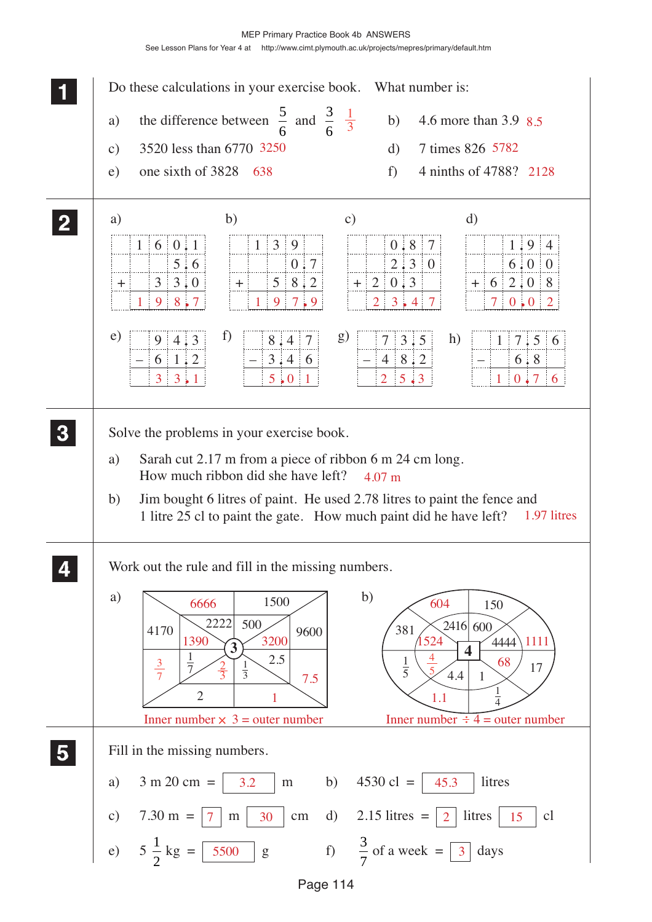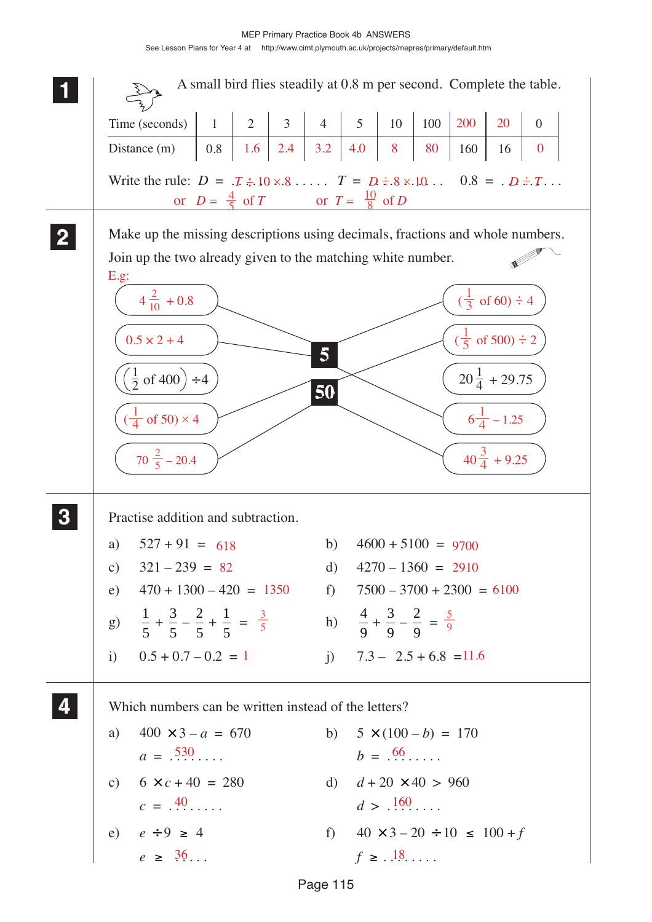MEP Primary Practice Book 4b ANSWERS See Lesson Plans for Year 4 at http://www.cimt.plymouth.ac.uk/projects/mepres/primary/default.htm

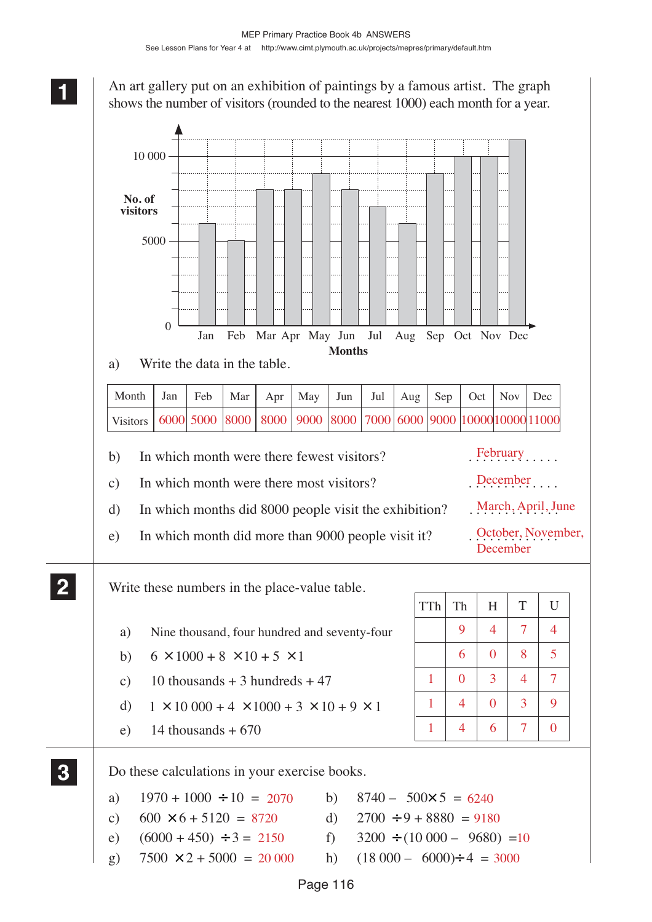An art gallery put on an exhibition of paintings by a famous artist. The graph shows the number of visitors (rounded to the nearest 1000) each month for a year.



Page 116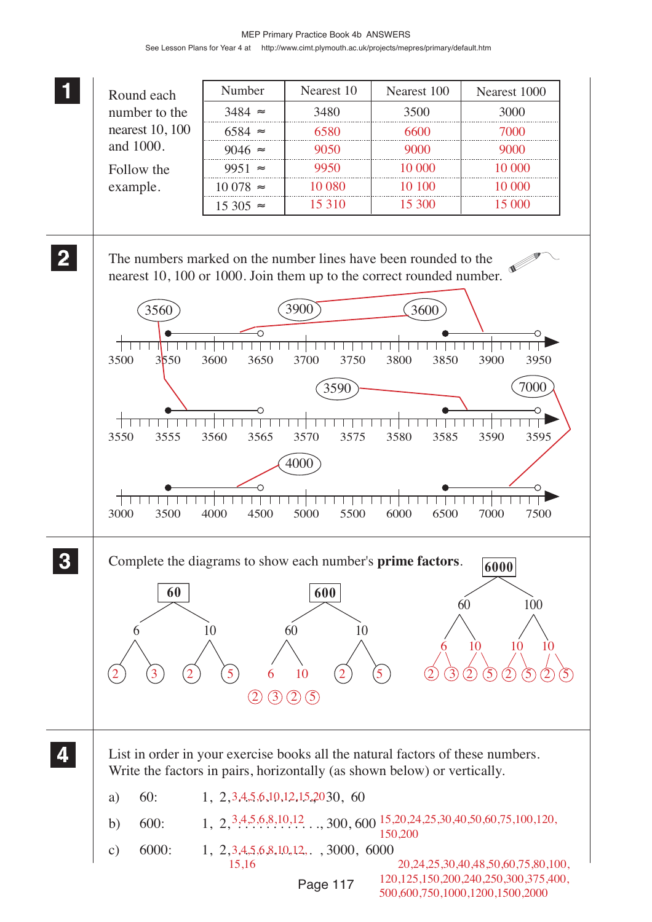|              |                                                                                                                                         | Number                   | Nearest 10                                    | Nearest 100    | Nearest 1000                                                                                          |
|--------------|-----------------------------------------------------------------------------------------------------------------------------------------|--------------------------|-----------------------------------------------|----------------|-------------------------------------------------------------------------------------------------------|
|              | Round each<br>number to the                                                                                                             | $3484 \approx$           | 3480                                          | 3500           | 3000                                                                                                  |
|              | nearest 10, 100                                                                                                                         | $6584 \approx$           | 6580                                          | 6600           | 7000                                                                                                  |
|              | and 1000.                                                                                                                               | $9046 \approx$           | 9050                                          | 9000           | 9000                                                                                                  |
|              |                                                                                                                                         |                          |                                               |                |                                                                                                       |
|              | Follow the                                                                                                                              | 9951 $\approx$           | 9950                                          | 10 000         | 10 000                                                                                                |
|              | example.                                                                                                                                | $10078 \approx$          | 10 080                                        | 10 100         | 10 000                                                                                                |
|              |                                                                                                                                         | $15305 \approx$          | 15 3 10                                       | 15 300         | 15 000                                                                                                |
| $\mathbf{2}$ | The numbers marked on the number lines have been rounded to the<br>nearest 10, 100 or 1000. Join them up to the correct rounded number. |                          |                                               |                |                                                                                                       |
|              | 3560                                                                                                                                    |                          | <b>3900</b>                                   | 3600           |                                                                                                       |
|              |                                                                                                                                         | ∩                        |                                               |                |                                                                                                       |
|              |                                                                                                                                         |                          |                                               |                |                                                                                                       |
|              | 3500<br>3550                                                                                                                            | 3600<br>3650             | 3700<br>3750                                  | 3800<br>3850   | 3900<br>3950                                                                                          |
|              |                                                                                                                                         |                          | 3590                                          |                | 7000                                                                                                  |
|              |                                                                                                                                         |                          |                                               |                |                                                                                                       |
|              |                                                                                                                                         |                          |                                               |                |                                                                                                       |
|              | 3550<br>3555                                                                                                                            | 3565<br>3560             | 3570<br>3575                                  | 3585<br>3580   | 3595<br>3590                                                                                          |
|              |                                                                                                                                         |                          | 4000                                          |                |                                                                                                       |
|              |                                                                                                                                         |                          |                                               |                |                                                                                                       |
|              | 3000<br>3500                                                                                                                            | 4500<br>4000             | 5500<br>5000                                  | 6500<br>6000   | 7500<br>7000                                                                                          |
|              | Complete the diagrams to show each number's <b>prime factors</b> .                                                                      |                          |                                               |                | 6000                                                                                                  |
|              |                                                                                                                                         |                          |                                               |                |                                                                                                       |
|              | 60                                                                                                                                      |                          | 600                                           |                | 100<br>60                                                                                             |
|              |                                                                                                                                         |                          |                                               |                |                                                                                                       |
|              | O                                                                                                                                       | 10                       | 10<br>60                                      |                | 10<br>10<br>10                                                                                        |
|              |                                                                                                                                         |                          |                                               |                |                                                                                                       |
|              | 3                                                                                                                                       | 5 <sup>2</sup><br>6      | 10<br>$\overline{2}$                          | $\overline{5}$ |                                                                                                       |
|              |                                                                                                                                         | (3)<br>$\left( 2\right)$ | (5)<br>$\left( 2\right)$                      |                |                                                                                                       |
|              |                                                                                                                                         |                          |                                               |                |                                                                                                       |
|              |                                                                                                                                         |                          |                                               |                |                                                                                                       |
|              | List in order in your exercise books all the natural factors of these numbers.                                                          |                          |                                               |                |                                                                                                       |
|              | Write the factors in pairs, horizontally (as shown below) or vertically.                                                                |                          |                                               |                |                                                                                                       |
|              |                                                                                                                                         |                          |                                               |                |                                                                                                       |
|              | 60:<br>a)                                                                                                                               |                          | $1, 2, 3, 4, 5, 6, 10, 12, 15, 20, 30, 60$    |                |                                                                                                       |
|              | 600:<br>b)                                                                                                                              |                          |                                               | 150,200        | $1, 2, \frac{3,4,5,6,8,10,12}{1,2,3,4,5,6,8,10,12}$ , 300, 600 $15,20,24,25,30,40,50,60,75,100,120$ , |
|              | 6000:<br>$\mathbf{c})$                                                                                                                  |                          | $1, 2, 3, 4, 5, 6, 8, 10, 12, .$ , 3000, 6000 |                |                                                                                                       |
|              |                                                                                                                                         | 15,16                    | Page 117                                      |                | 20, 24, 25, 30, 40, 48, 50, 60, 75, 80, 100,<br>120, 125, 150, 200, 240, 250, 300, 375, 400,          |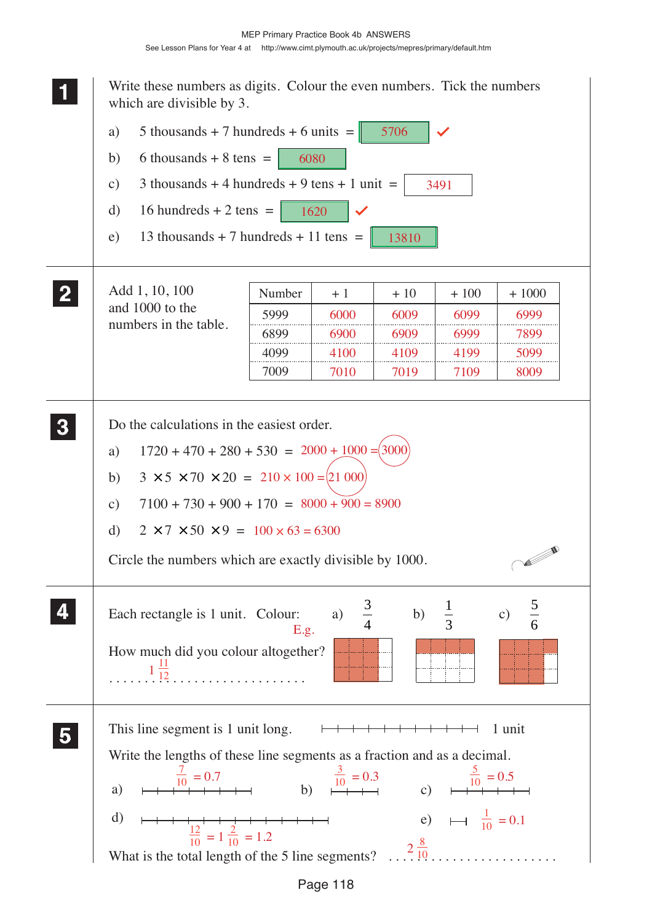**1 11 <sup>11</sup>** Write these numbers as digits. Colour the even numbers. Tick the numbers which are divisible by 3. a) 5 thousands + 7 hundreds + 6 units =  $\|$ 5706 b) 6 thousands  $+ 8$  tens  $=$  6080 c) 3 thousands + 4 hundreds + 9 tens + 1 unit = 3491 d) 16 hundreds + 2 tens =  $\begin{vmatrix} 1620 \end{vmatrix}$ e) 13 thousands + 7 hundreds + 11 tens =  $\parallel$  13810 **2 22 2** Add 1, 10, 100 Number + 1  $+ 10$   $+ 100$   $+ 1000$ and 1000 to the 5999 6000 6009 6099 6999 numbers in the table. 6899 6900 6909 6999 7899 4099 4100 4109 4199 5099 7009 7010 7019 7109 8009 **3 33** Do the calculations in the easiest order. **33** a)  $1720 + 470 + 280 + 530 = 2000 + 1000 = (3000$ b)  $3 \times 5 \times 70 \times 20 = 210 \times 100 = 210000$ c)  $7100 + 730 + 900 + 170 = 8000 + 900 = 8900$ d)  $2 \times 7 \times 50 \times 9 = 100 \times 63 = 6300$ **CONTRACTOR** Circle the numbers which are exactly divisible by 1000. **4 44**  $rac{5}{6}$ b)  $\frac{1}{3}$  $\frac{1}{3}$  c)  $\frac{5}{6}$ Each rectangle is 1 unit. Colour: a) **44** E.g. How much did you colour altogether?  $1\frac{11}{12}$ . . . . . . . . . . . . . . . . . . . . . . . . . . . . **5 55** This line segment is 1 unit long.  $\Box$ **55** Write the lengths of these line segments as a fraction and as a decimal.  $\frac{7}{10} = 0.7$   $\frac{3}{10} = 0.3$   $\frac{5}{10} = 0.5$ a)  $\mapsto \frac{10}{10} + \mapsto \mapsto$  b)  $\stackrel{10}{\mapsto} + \mapsto$  c)  $\frac{1}{10} = 0.1$ d)  $\mapsto$   $\frac{12}{10} = 1 \frac{2}{10} = 1.2$  e) What is the total length of the 5 line segments?  $\frac{2\frac{8}{10}}{10}$ ..................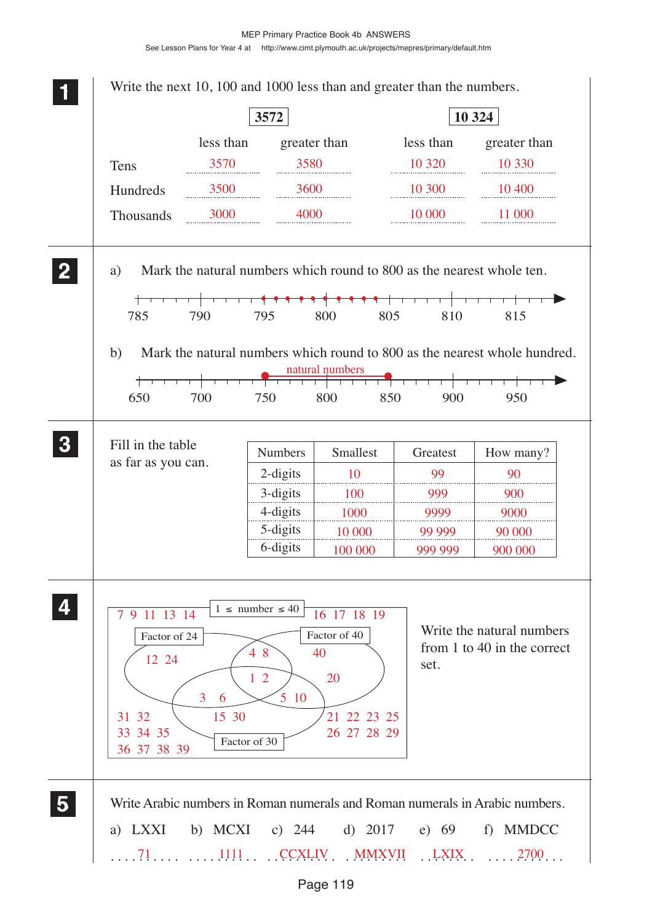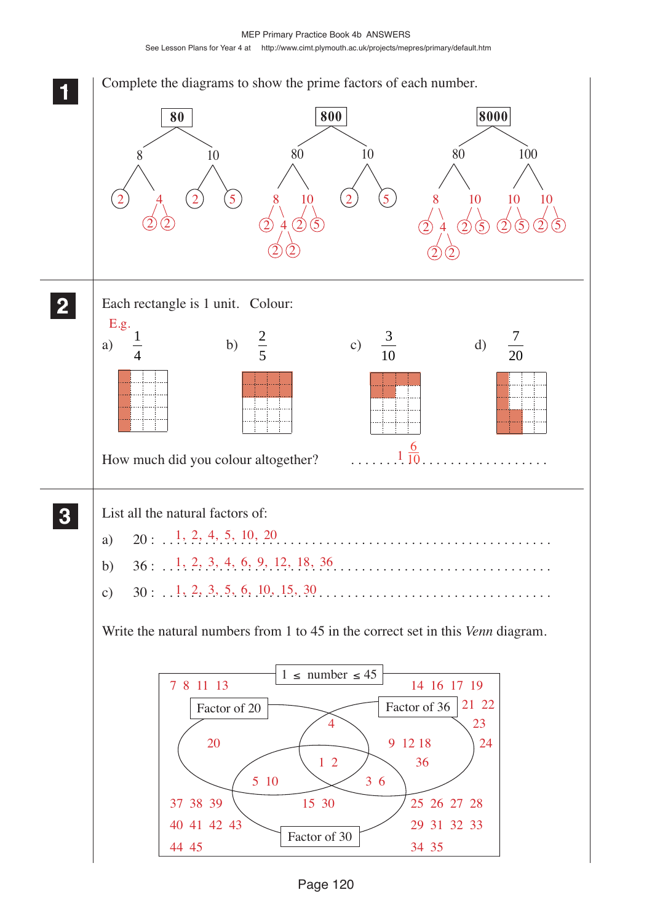MEP Primary Practice Book 4b ANSWERS See Lesson Plans for Year 4 at http://www.cimt.plymouth.ac.uk/projects/mepres/primary/default.htm

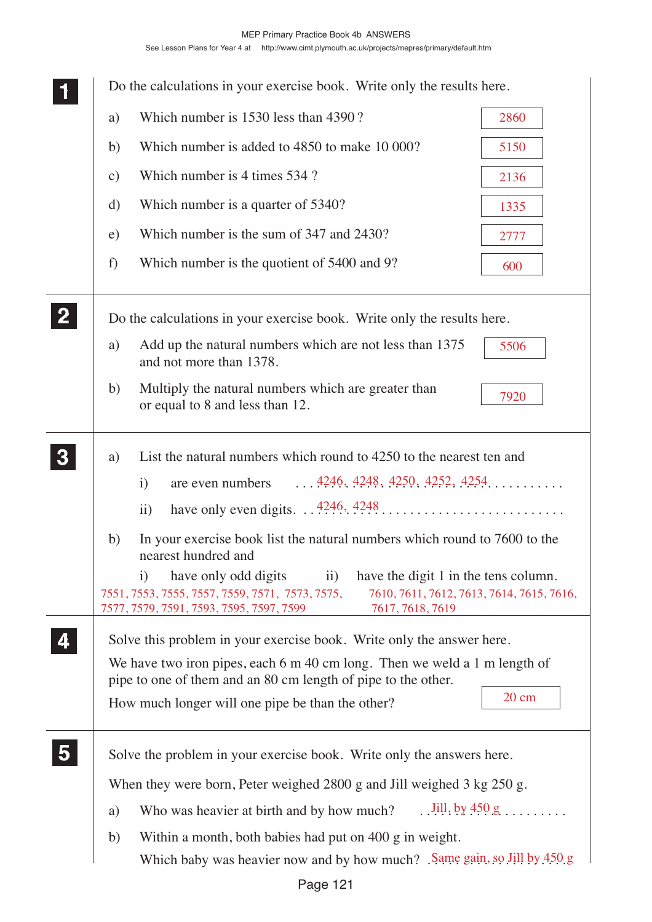|              |               | Do the calculations in your exercise book. Write only the results here.                                                                                                                                                                                                                      |                         |
|--------------|---------------|----------------------------------------------------------------------------------------------------------------------------------------------------------------------------------------------------------------------------------------------------------------------------------------------|-------------------------|
|              | a)            | Which number is 1530 less than 4390?                                                                                                                                                                                                                                                         | 2860                    |
|              | b)            | Which number is added to 4850 to make 10 000?                                                                                                                                                                                                                                                | 5150                    |
|              | $\mathbf{c})$ | Which number is 4 times 534 ?                                                                                                                                                                                                                                                                | 2136                    |
|              | d)            | Which number is a quarter of 5340?                                                                                                                                                                                                                                                           | 1335                    |
|              | e)            | Which number is the sum of 347 and 2430?                                                                                                                                                                                                                                                     | 2777                    |
|              | f)            | Which number is the quotient of 5400 and 9?                                                                                                                                                                                                                                                  | 600                     |
| $\mathbf{2}$ |               | Do the calculations in your exercise book. Write only the results here.                                                                                                                                                                                                                      |                         |
|              | a)            | Add up the natural numbers which are not less than 1375<br>and not more than 1378.                                                                                                                                                                                                           | 5506                    |
|              | b)            | Multiply the natural numbers which are greater than<br>or equal to 8 and less than 12.                                                                                                                                                                                                       | 7920                    |
| $\mathbf{3}$ | a)            | List the natural numbers which round to 4250 to the nearest ten and<br>$\ldots$ , 4246, 4248, 4250, 4252, 4254,<br>are even numbers<br>$\mathbf{i}$                                                                                                                                          |                         |
|              | b)            | ii)<br>In your exercise book list the natural numbers which round to 7600 to the<br>nearest hundred and                                                                                                                                                                                      |                         |
|              |               | have only odd digits<br>have the digit 1 in the tens column.<br>$\mathbf{i}$<br>$\ddot{\mathbf{i}}$<br>7551, 7553, 7555, 7557, 7559, 7571, 7573, 7575,<br>7610, 7611, 7612, 7613, 7614, 7615, 7616,<br>7577, 7579, 7591, 7593, 7595, 7597, 7599<br>7617, 7618, 7619                          |                         |
|              |               | Solve this problem in your exercise book. Write only the answer here.<br>We have two iron pipes, each $6 \text{ m } 40 \text{ cm } \log$ . Then we weld a 1 m length of<br>pipe to one of them and an 80 cm length of pipe to the other.<br>How much longer will one pipe be than the other? | $20 \text{ cm}$         |
|              |               | Solve the problem in your exercise book. Write only the answers here.                                                                                                                                                                                                                        |                         |
|              |               | When they were born, Peter weighed $2800$ g and Jill weighed $3$ kg $250$ g.                                                                                                                                                                                                                 |                         |
|              | a)            | Who was heavier at birth and by how much?                                                                                                                                                                                                                                                    | $\ldots$ Jill, by 450 g |
|              | b)            | Within a month, both babies had put on 400 g in weight.<br>Which baby was heavier now and by how much? Same gain, so Jill by 450 g                                                                                                                                                           |                         |
|              |               |                                                                                                                                                                                                                                                                                              |                         |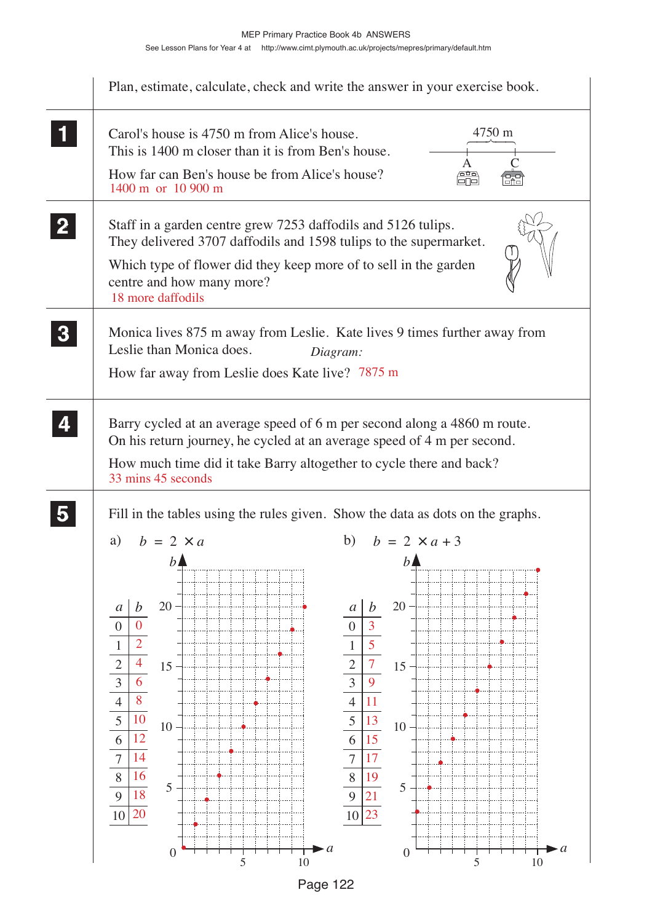

Page 122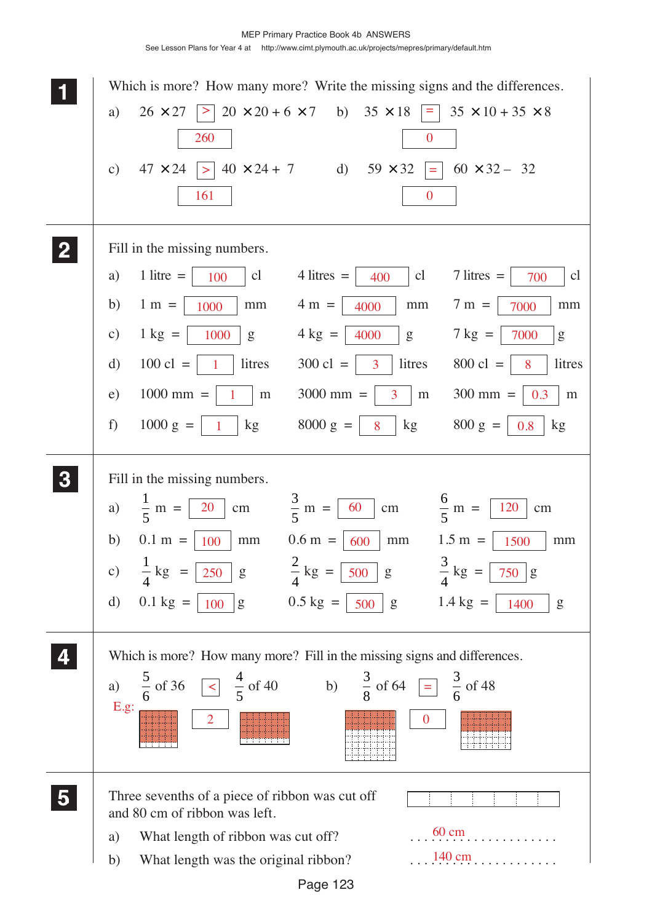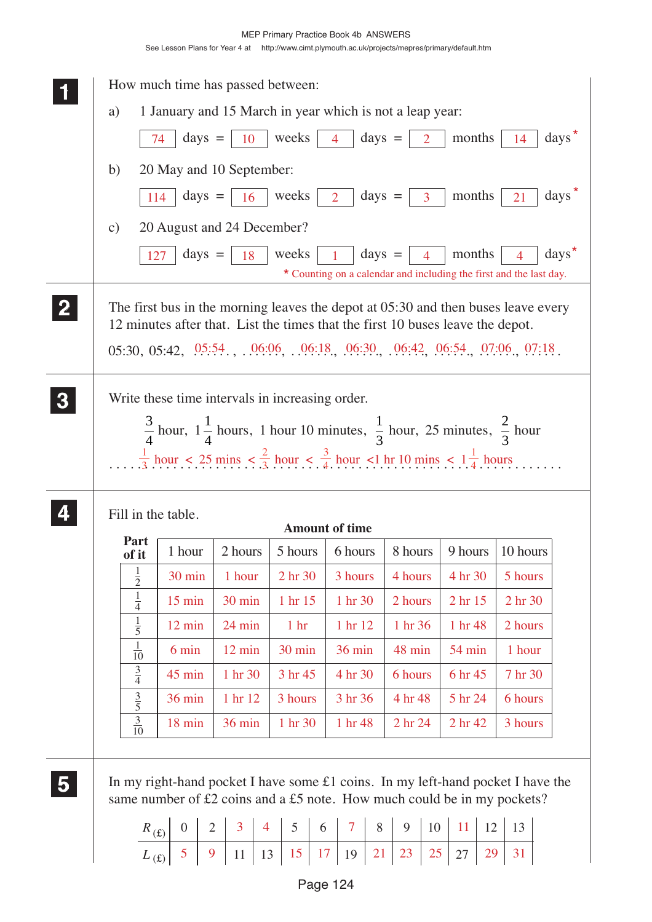|   |                                                | How much time has passed between:                       |                                 |                    |                                                                                                                                                                                                                                 |                                   |                      |                                                                                                                                                                |  |
|---|------------------------------------------------|---------------------------------------------------------|---------------------------------|--------------------|---------------------------------------------------------------------------------------------------------------------------------------------------------------------------------------------------------------------------------|-----------------------------------|----------------------|----------------------------------------------------------------------------------------------------------------------------------------------------------------|--|
|   | a)                                             |                                                         |                                 |                    | 1 January and 15 March in year which is not a leap year:                                                                                                                                                                        |                                   |                      |                                                                                                                                                                |  |
|   |                                                | $\frac{days}{}$<br>74                                   | 10                              | weeks              | $\frac{days}{}$ =<br>$\overline{4}$                                                                                                                                                                                             | $\overline{2}$                    | months               | $\langle \text{days} \rangle$<br>14                                                                                                                            |  |
|   | b)                                             | 20 May and 10 September:                                |                                 |                    |                                                                                                                                                                                                                                 |                                   |                      |                                                                                                                                                                |  |
|   | 114                                            | $\frac{days}{}$                                         | 16                              | weeks $\vert$ 2    |                                                                                                                                                                                                                                 | days $=$ $\begin{array}{ c c }$ 3 | months               | $\langle$ days<br>21                                                                                                                                           |  |
|   | $\mathbf{c})$                                  | 20 August and 24 December?                              |                                 |                    |                                                                                                                                                                                                                                 |                                   |                      |                                                                                                                                                                |  |
|   | 127                                            | $\frac{days}{ }$ =                                      | 18                              | weeks              | $\frac{days}{}$                                                                                                                                                                                                                 | $\overline{4}$                    | months               | $\left<$ days <sup><math>\star</math></sup><br>$\overline{4}$<br>* Counting on a calendar and including the first and the last day.                            |  |
|   |                                                |                                                         |                                 |                    | 12 minutes after that. List the times that the first 10 buses leave the depot.                                                                                                                                                  |                                   |                      | The first bus in the morning leaves the depot at $05:30$ and then buses leave every<br>$05:30, 05:42, 05:54, 06:06, 06:18, 06:30, 06:42, 06:54, 07:06, 07:18.$ |  |
|   |                                                | Write these time intervals in increasing order.         |                                 |                    | $\frac{3}{4}$ hour, $1\frac{1}{4}$ hours, 1 hour 10 minutes, $\frac{1}{3}$ hour, 25 minutes, $\frac{2}{3}$ hour<br>$\frac{1}{3}$ hour < 25 mins < $\frac{2}{3}$ hour < $\frac{3}{4}$ hour < 1 hr 10 mins < $1\frac{1}{4}$ hours |                                   |                      |                                                                                                                                                                |  |
|   | Fill in the table.                             |                                                         |                                 |                    |                                                                                                                                                                                                                                 |                                   |                      |                                                                                                                                                                |  |
|   |                                                |                                                         |                                 |                    | <b>Amount of time</b>                                                                                                                                                                                                           |                                   |                      |                                                                                                                                                                |  |
|   | Part                                           | 1 hour                                                  | 2 hours                         | 5 hours            | 6 hours                                                                                                                                                                                                                         | 8 hours                           | 9 hours              | 10 hours                                                                                                                                                       |  |
|   | of it                                          | 30 min                                                  | 1 hour                          | 2 hr 30            | 3 hours                                                                                                                                                                                                                         | 4 hours                           | 4 hr 30              | 5 hours                                                                                                                                                        |  |
|   | $\frac{1}{2}$                                  | $15$ min                                                | 30 min                          | 1 hr 15            | 1 hr 30                                                                                                                                                                                                                         | 2 hours                           | 2 hr 15              | 2 hr 30                                                                                                                                                        |  |
|   | $\frac{1}{4}$                                  | $12 \text{ min}$                                        | 24 min                          | 1 <sub>hr</sub>    | 1 hr 12                                                                                                                                                                                                                         | 1 hr 36                           | 1 hr 48              | 2 hours                                                                                                                                                        |  |
|   | $\frac{1}{5}$                                  | 6 min                                                   | 12 min                          | 30 min             | <b>36 min</b>                                                                                                                                                                                                                   | 48 min                            | 54 min               | 1 hour                                                                                                                                                         |  |
|   | $\frac{1}{10}$<br>$rac{3}{4}$                  | 45 min                                                  | 1 hr 30                         | 3 hr 45            | 4 hr 30                                                                                                                                                                                                                         | 6 hours                           | 6 hr 45              | 7 hr 30                                                                                                                                                        |  |
|   |                                                | 36 min                                                  | 1 hr 12                         | 3 hours            | 3 hr 36                                                                                                                                                                                                                         | 4 hr 48                           | 5 hr 24              | 6 hours                                                                                                                                                        |  |
|   | $rac{3}{5}$<br>$\frac{3}{10}$                  | 18 min                                                  | 36 min                          | 1 hr 30            | 1 hr 48                                                                                                                                                                                                                         | 2 hr 24                           | 2 hr 42              | 3 hours                                                                                                                                                        |  |
| 5 | $R_{(\text{\textsterling})}$<br>$L_{\text{f}}$ | $\overline{0}$<br>$\overline{2}$<br>5 <sup>5</sup><br>9 | 3<br>$\overline{4}$<br>11<br>13 | 5<br>6<br>15<br>17 | same number of £2 coins and a £5 note. How much could be in my pockets?<br>$\overline{7}$<br>8<br>21<br>19                                                                                                                      | 9<br>10<br>25<br>23               | 11<br>12<br>29<br>27 | In my right-hand pocket I have some $£1 \text{ coins}$ . In my left-hand pocket I have the<br>13<br>31                                                         |  |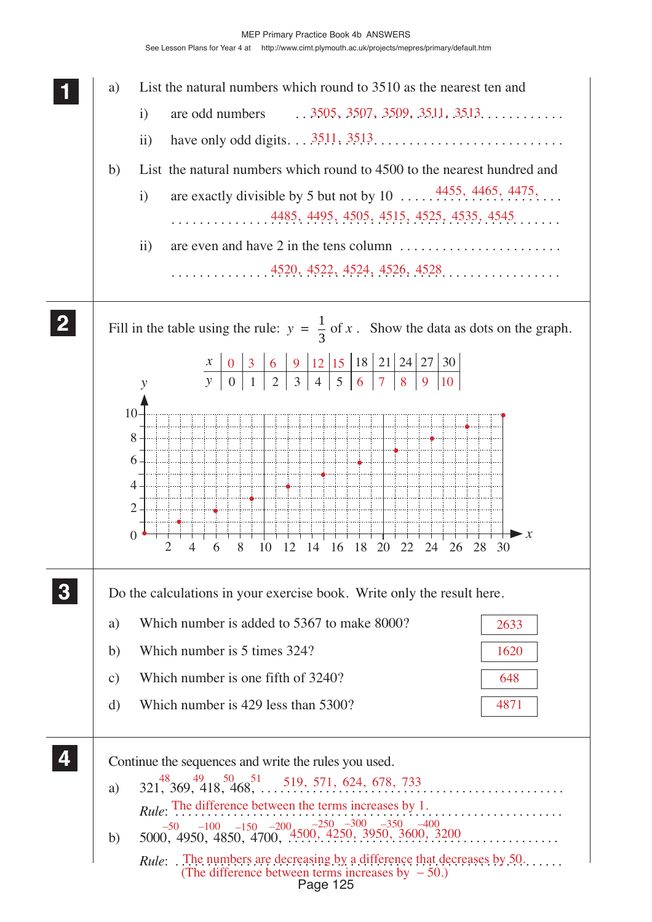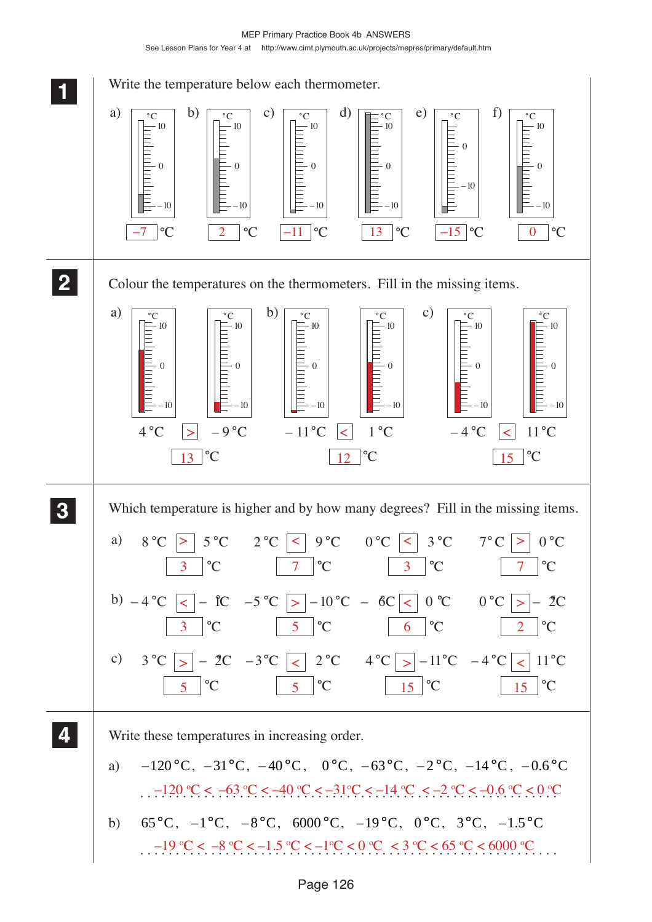MEP Primary Practice Book 4b ANSWERS See Lesson Plans for Year 4 at http://www.cimt.plymouth.ac.uk/projects/mepres/primary/default.htm

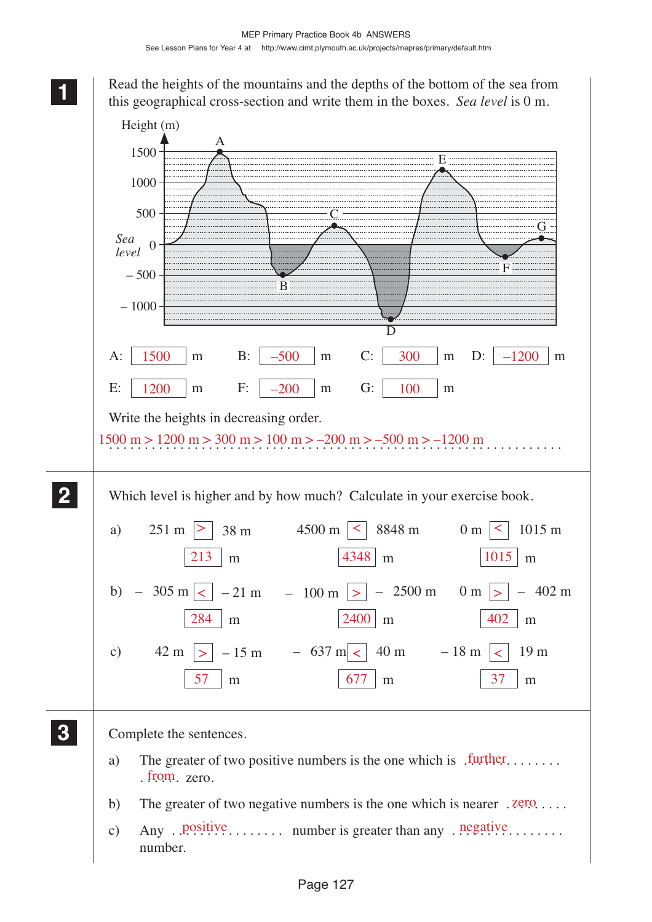**1 11 11** Read the heights of the mountains and the depths of the bottom of the sea from this geographical cross-section and write them in the boxes. *Sea level* is 0 m.

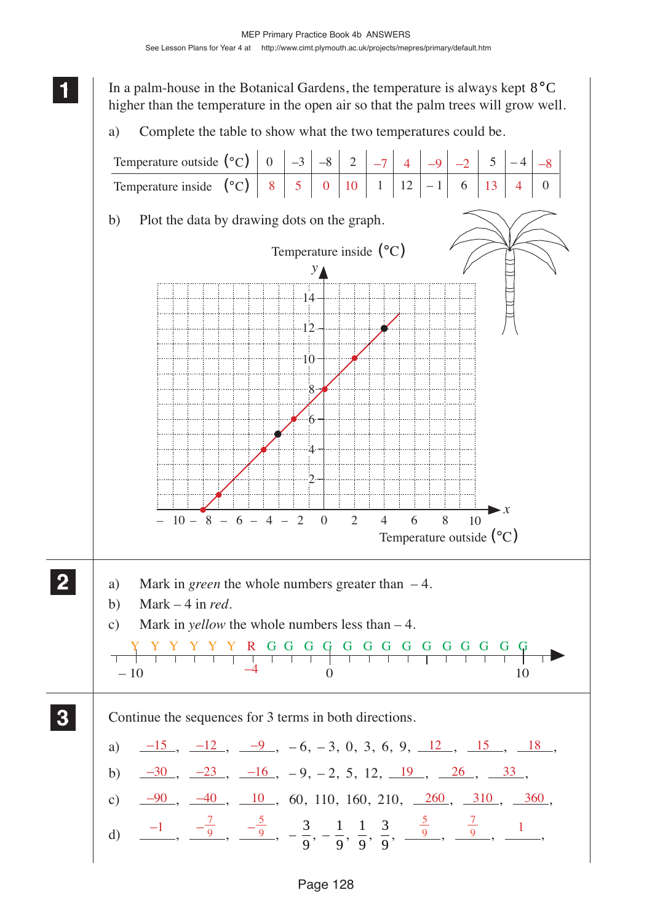**1 11** In a palm-house in the Botanical Gardens, the temperature is always kept  $8^{\circ}$ C higher than the temperature in the open air so that the palm trees will grow well. a) Complete the table to show what the two temperatures could be. b) Plot the data by drawing dots on the graph. a) Mark in *green* the whole numbers greater than – 4. b) Mark – 4 in *red*. c) Mark in *yellow* the whole numbers less than – 4. Continue the sequences for 3 terms in both directions. a)  $\frac{-15}{-15}$ ,  $\frac{-12}{-9}$ ,  $\frac{-9}{-6}$ ,  $\frac{-3}{-3}$ , 0, 3, 6, 9,  $\frac{12}{-12}$ ,  $\frac{15}{-15}$ ,  $\frac{18}{-18}$ b)  $\frac{-30}{-30}$ ,  $\frac{-23}{-23}$ ,  $\frac{-16}{-16}$ ,  $-9$ ,  $-2$ , 5, 12,  $\frac{19}{-19}$ ,  $\frac{26}{-26}$ ,  $\frac{33}{-25}$ c)  $\frac{-90}{ }$ ,  $\frac{-40}{ }$ ,  $\frac{10}{ }$ , 60, 110, 160, 210,  $\frac{260}{ }$ ,  $\frac{310}{ }$ ,  $\frac{360}{ }$ d)  $\frac{-1}{\sqrt{9}}, \frac{-\frac{7}{9}}{\sqrt{9}}, \frac{-\frac{3}{9}}{\sqrt{9}}, -\frac{3}{9}$ 9  $, -\frac{1}{2}$ 9  $\frac{1}{\sqrt{2}}$ 9  $\frac{3}{2}$ 9  $\frac{-1}{9}, \frac{-\frac{7}{9}}{9}, \frac{-\frac{5}{9}}{9}, -\frac{3}{9}, -\frac{1}{9}, \frac{1}{9}, \frac{3}{9}, \frac{\frac{5}{9}}{9}, \frac{\frac{7}{9}}{9}, \frac{1}{9}$ Temperature outside  $({}^{\circ}C)$ Temperature inside  $({}^{\circ}C)$ 0  $\vert -3 \vert -8 \vert 2$  $1 | 12 |- 1 | 6$  $5$  |  $-4$ 0 **2 22 22**  $-10$   $-4$  0 10 **3 33 33**  $\mathcal{D}$ 4 6  $8^{\circ}$  $-10-$ 12 *y x* Temperature outside  $({}^{\circ}C)$  $-14$  $0 \t2 \t4 \t6 \t8 \t10$ Temperature inside  $({}^{\circ}C)$  $10 - 8 - 6 - 4 - 2 = 0 = 2$  4 6 8  $-7$  | 4 |  $-9$  |  $-2$  | 5 |  $-4$  |  $-8$  $8$  | 5 | 0 | 10 | 1 | 12 | -1 | 6 | 13 | 4 YYYYYY R GG GG G GG G G GGG GG –4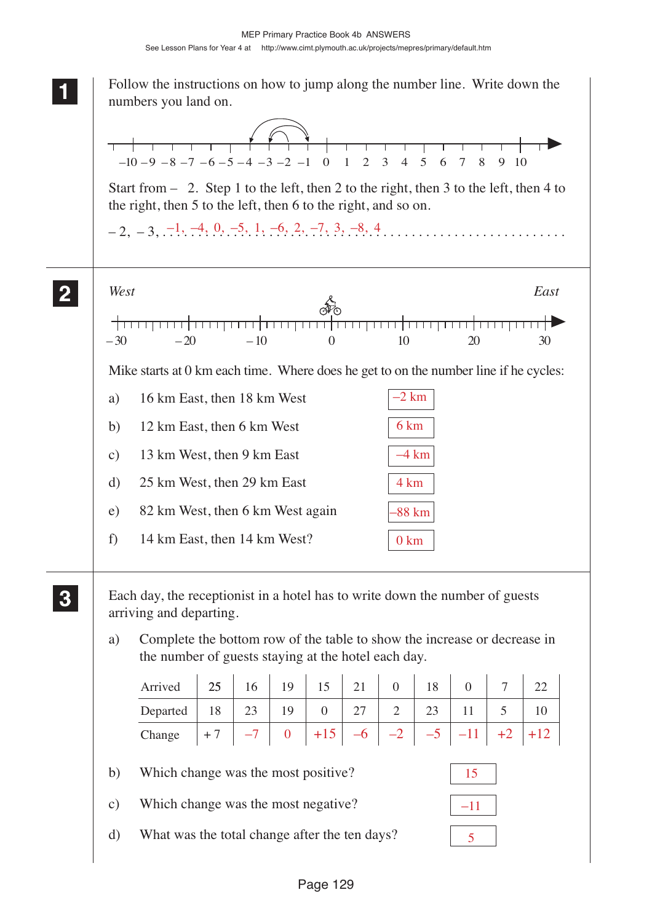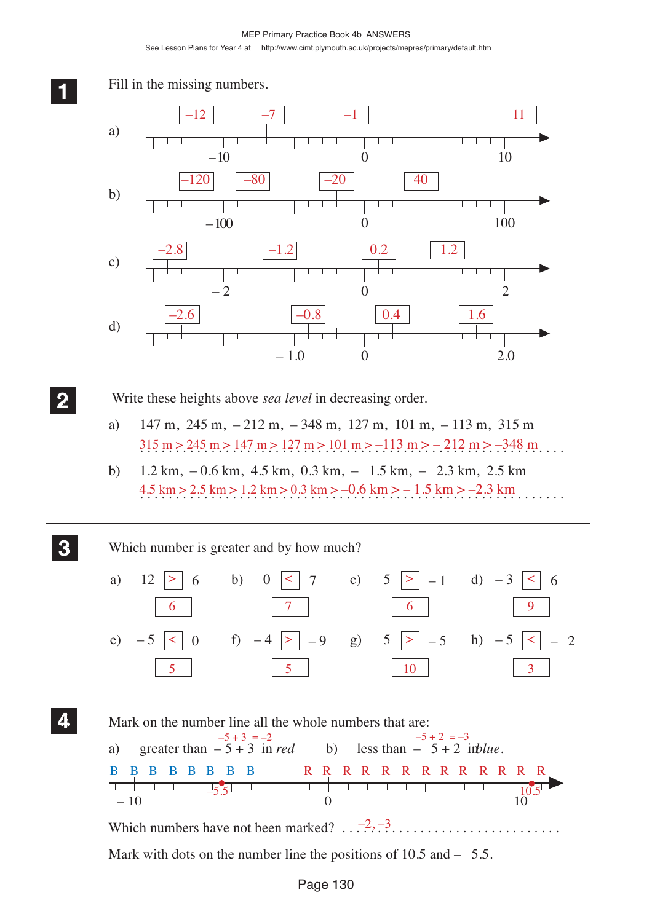MEP Primary Practice Book 4b ANSWERS See Lesson Plans for Year 4 at http://www.cimt.plymouth.ac.uk/projects/mepres/primary/default.htm

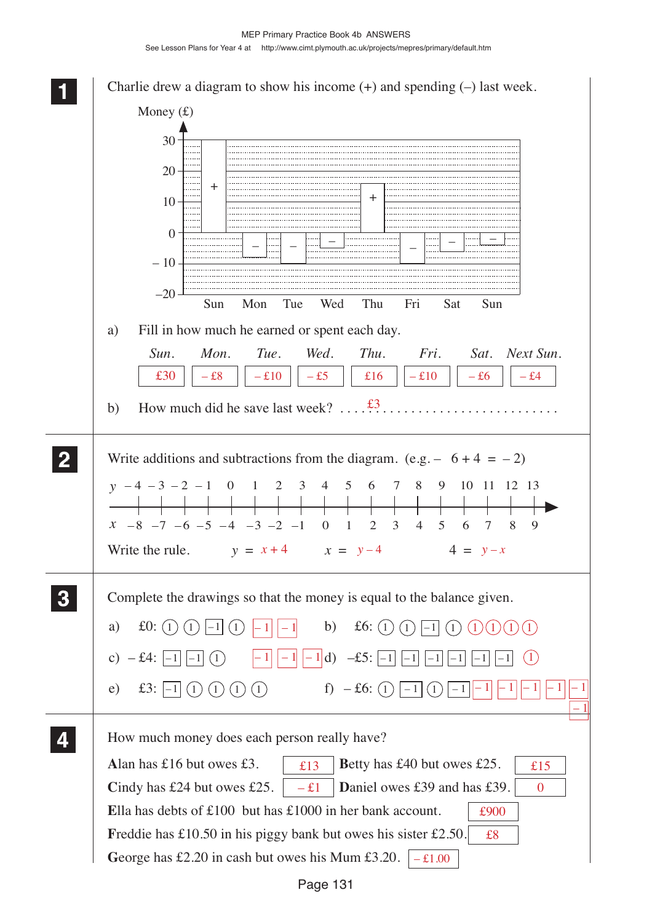**1 11** Charlie drew a diagram to show his income  $(+)$  and spending  $(-)$  last week. Money  $(f)$ 30 20 + +  $10 -$ . . . . . . . ......................................  $\overline{0}$ – – – – – – . . . . . . . . . . . . . . . . .  $-10-$ –20 Sun Mon Tue Wed Thu Fri Sat Sun a) Fill in how much he earned or spent each day. *Sun. Mon. Tue. Wed. Thu. Fri. Sat. Next Sun.*  $£30$   $\begin{vmatrix} -& 28 \\ -& 10 \end{vmatrix}$   $-£10$   $\begin{vmatrix} -& 25 \\ -& 10 \end{vmatrix}$   $-£10$   $\begin{vmatrix} -& 26 \\ -& 10 \end{vmatrix}$   $-£4$ b) How much did he save last week?  $\dots$   $\overset{\text{f3}}{\dots}$  .......................... **2 22** Write additions and subtractions from the diagram. (e.g.  $-6+4 = -2$ ) **22** *y* - 4 - 3 - 2 - 1 0 1 2 3 4 5 6 7 8 9 10 11 12 13  $x$  –8 –7 –6 –5 –4 –3 –2 –1 0 1 2 3 4 5 6 7 8 9 Write the rule.  $y = x + 4$   $x = y - 4$   $4 = y - x$ **3 33** Complete the drawings so that the money is equal to the balance given. **33** a)  $\text{\pounds}0: (1) (1) | -1 | (1) | -1 | | -1 |$  b)  $\text{\pounds}6:$  $-1$ ||-1|| b)  $\textbf{f6}: (1)(1)$ |-1| $(1)(1)(1)(1)(1)$ c) – £4:  $\boxed{-1}$ c)  $- f4: \begin{vmatrix} -1 & 1 & 1 \end{vmatrix}$   $-1 \begin{vmatrix} 1 & 1 & 1 \end{vmatrix}$   $-1 \begin{vmatrix} -1 & 1 & 1 \end{vmatrix}$   $-1 \begin{vmatrix} -1 & 1 & 1 \end{vmatrix}$   $-1 \begin{vmatrix} -1 & 1 & 1 \end{vmatrix}$   $-1 \begin{vmatrix} -1 & 1 & 1 \end{vmatrix}$ e)  $\text{\pounds}3: -1 \ (1) \ (1) \ (1) \ (1)$ f)  $- f6: (1)$   $-1 (1)$  $|-1|$   $|-1|$   $|-1|$   $|-1|$ – 1  $\vert -1 \vert$ **4 44** How much money does each person really have? **44** Alan has £16 but owes £3.  $\left| \begin{array}{c} \pm 13 \\ \pm 13 \end{array} \right|$  Betty has £40 but owes £25.  $\left| \begin{array}{c} \pm 15 \\ \pm 15 \end{array} \right|$ **Cindy has £24 but owes £25.**  $\vert -\pounds1 \vert$  **Daniel owes £39 and has £39.**  $\vert 0 \vert$ **E**lla has debts of £100 but has £1000 in her bank account. £900 Freddie has £10.50 in his piggy bank but owes his sister £2.50. £8 George has £2.20 in cash but owes his Mum £3.20.  $\vert -\text{\pounds}1.00 \rangle$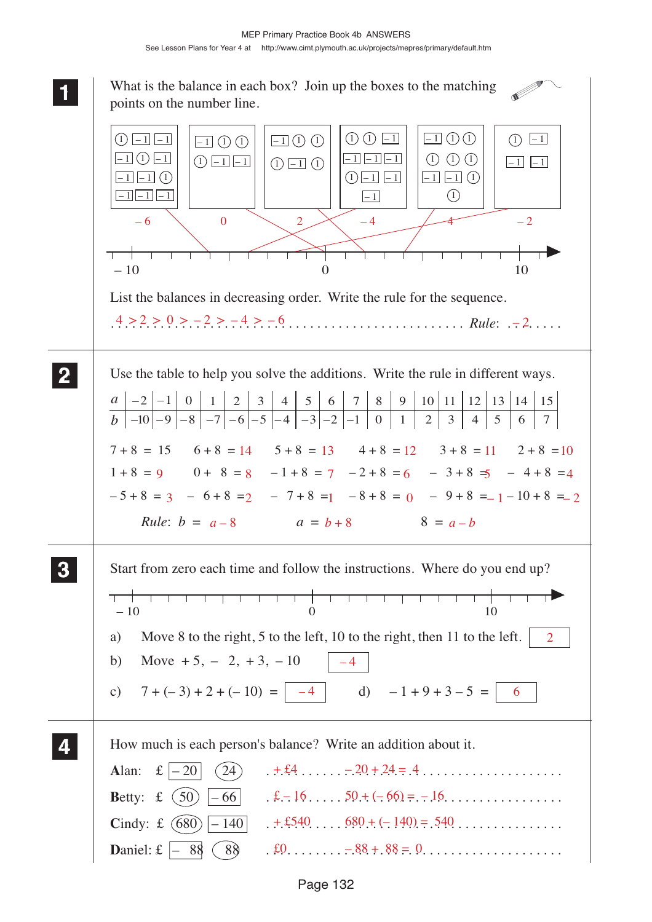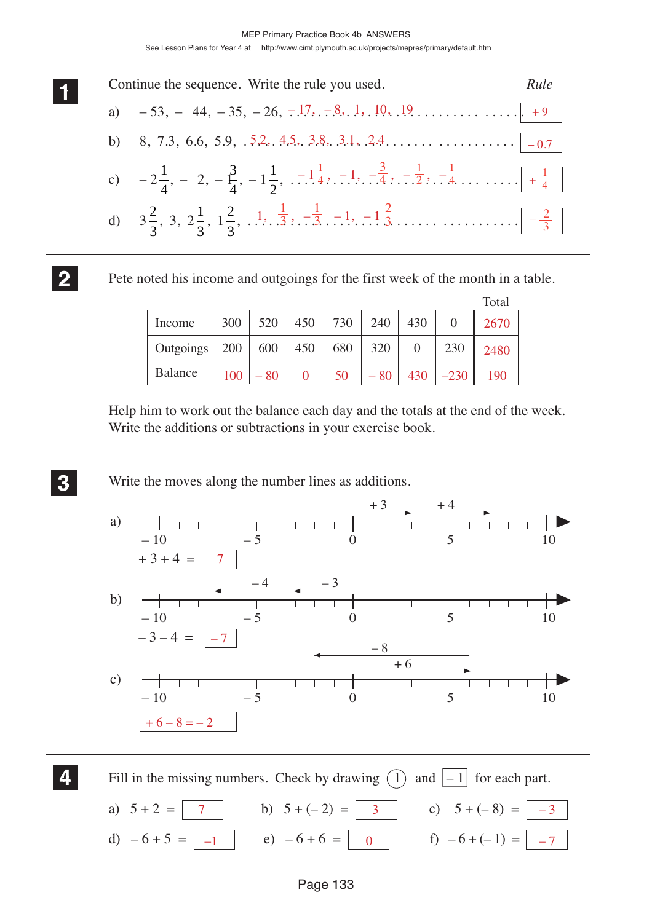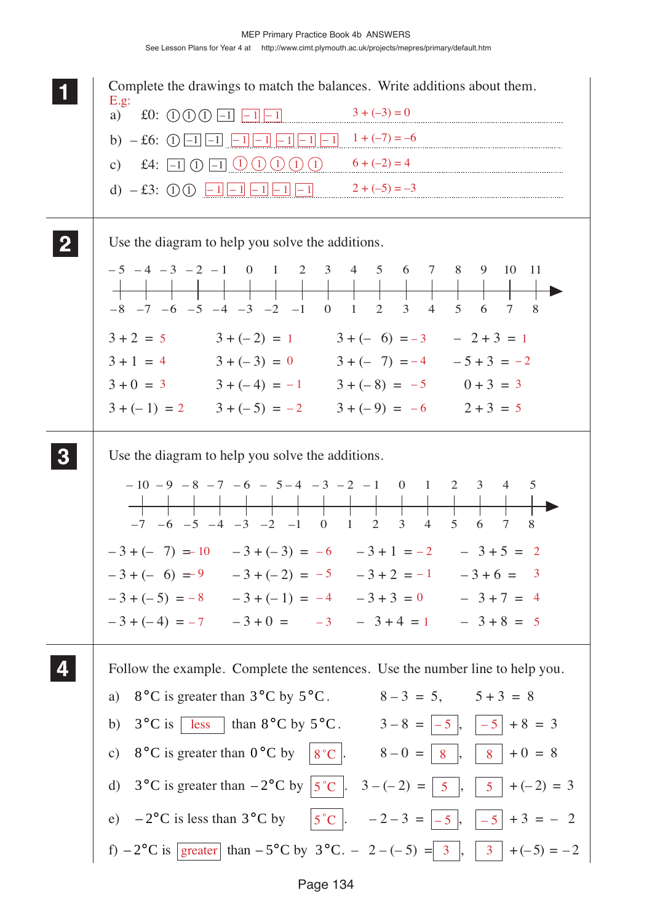|          | Complete the drawings to match the balances. Write additions about them.                                                                                                                                                                                                                                                                                                                                                                        |
|----------|-------------------------------------------------------------------------------------------------------------------------------------------------------------------------------------------------------------------------------------------------------------------------------------------------------------------------------------------------------------------------------------------------------------------------------------------------|
|          | E.g.<br>$3 + (-3) = 0$<br>£0: $\bigcirc$ $\bigcirc$ $\bigcirc$ $\bigcirc$ $\bigcirc$ $\bigcirc$ $\bigcirc$ $\bigcirc$ $\bigcirc$ $\bigcirc$ $\bigcirc$ $\bigcirc$ $\bigcirc$ $\bigcirc$ $\bigcirc$ $\bigcirc$ $\bigcirc$ $\bigcirc$ $\bigcirc$ $\bigcirc$ $\bigcirc$ $\bigcirc$ $\bigcirc$ $\bigcirc$ $\bigcirc$ $\bigcirc$ $\bigcirc$ $\bigcirc$ $\bigcirc$ $\bigcirc$ $\bigcirc$ $\bigcirc$ $\bigcirc$ $\bigcirc$ $\bigcirc$ $\bigcirc$<br>a) |
|          |                                                                                                                                                                                                                                                                                                                                                                                                                                                 |
|          | c) £4: $\boxed{-1}$ (1) $\boxed{-1}$ (1) (1) (1) (1) $\boxed{0}$ 6+(-2) = 4                                                                                                                                                                                                                                                                                                                                                                     |
|          | d) $-£3$ : ① ① <del><math>-1</math> <math>-1</math></del> $-1$ $-1$ $-1$ $-1$ $-1$ $2 + (-5) = -3$                                                                                                                                                                                                                                                                                                                                              |
|          |                                                                                                                                                                                                                                                                                                                                                                                                                                                 |
|          | Use the diagram to help you solve the additions.                                                                                                                                                                                                                                                                                                                                                                                                |
|          | $-5$ $-4$ $-3$ $-2$ $-1$ 0 1 2 3 4 5 6 7 8 9<br>10 11                                                                                                                                                                                                                                                                                                                                                                                           |
|          |                                                                                                                                                                                                                                                                                                                                                                                                                                                 |
|          | $-8$ $-7$ $-6$ $-5$ $-4$ $-3$ $-2$ $-1$ 0 1 2 3<br>$4 \quad$<br>5 6 7 8                                                                                                                                                                                                                                                                                                                                                                         |
|          | $3+2=5$ $3+(-2) = 1$ $3+(-6) = -3$ $-2+3=1$                                                                                                                                                                                                                                                                                                                                                                                                     |
|          | $3+1 = 4$ $3+(-3) = 0$ $3+(-7) = -4$ $-5+3 = -2$                                                                                                                                                                                                                                                                                                                                                                                                |
|          | $3 + 0 = 3$ $3 + (-4) = -1$ $3 + (-8) = -5$ $0 + 3 = 3$<br>$3 + (-1) = 2$ $3 + (-5) = -2$ $3 + (-9) = -6$ $2 + 3 = 5$                                                                                                                                                                                                                                                                                                                           |
|          |                                                                                                                                                                                                                                                                                                                                                                                                                                                 |
| $\bf{3}$ | Use the diagram to help you solve the additions.                                                                                                                                                                                                                                                                                                                                                                                                |
|          | $-10$ $-9$ $-8$ $-7$ $-6$ $-5$ $-4$ $-3$ $-2$ $-1$ 0 1 2 3 4<br>5<br>$-7$ $-6$ $-5$ $-4$ $-3$ $-2$ $-1$ 0 1 2 3<br>8<br>$4 \quad 5$<br>6<br>$\tau$                                                                                                                                                                                                                                                                                              |
|          | $-3 + (-7) = 10$ $-3 + (-3) = -6$ $-3 + 1 = -2$ $-3 + 5 = 2$                                                                                                                                                                                                                                                                                                                                                                                    |
|          | $-3 + (-6) = 9$ $-3 + (-2) = -5$ $-3 + 2 = -1$ $-3 + 6 = 3$                                                                                                                                                                                                                                                                                                                                                                                     |
|          | $-3 + (-5) = -8$ $-3 + (-1) = -4$ $-3 + 3 = 0$ $-3 + 7 = 4$                                                                                                                                                                                                                                                                                                                                                                                     |
|          | $-3 + (-4) = -7$ $-3 + 0 = -3$ $-3 + 4 = 1$ $-3 + 8 = 5$                                                                                                                                                                                                                                                                                                                                                                                        |
|          | Follow the example. Complete the sentences. Use the number line to help you.                                                                                                                                                                                                                                                                                                                                                                    |
|          | a) $8^{\circ}$ C is greater than $3^{\circ}$ C by $5^{\circ}$ C. $8-3=5$ , $5+3=8$                                                                                                                                                                                                                                                                                                                                                              |
|          | b) $3^{\circ}$ C is $\sqrt{\text{less}}$ than $8^{\circ}$ C by $5^{\circ}$ C. $3-8 =  -5 ,  -5  + 8 = 3$                                                                                                                                                                                                                                                                                                                                        |
|          | c) 8°C is greater than $0^{\circ}$ C by $ 8^{\circ}$ C . $8-0= 8 ,  8 +0=8$                                                                                                                                                                                                                                                                                                                                                                     |
|          | d) 3°C is greater than $-2$ °C by $ 5$ °C $ $ . 3 $-(-2) =  5 $ , $ 5  + (-2) = 3$                                                                                                                                                                                                                                                                                                                                                              |
|          |                                                                                                                                                                                                                                                                                                                                                                                                                                                 |
|          | e) $-2^{\circ}$ C is less than $3^{\circ}$ C by $ 5^{\circ}$ C $ . -2-3 =  -5 ,  -5  + 3 = -2$                                                                                                                                                                                                                                                                                                                                                  |
|          | f) $-2^{\circ}$ C is $\sqrt{\text{greater}}$ than $-5^{\circ}$ C by $3^{\circ}$ C. $-2-(-5) =  3 ,  3  + (-5) = -2$                                                                                                                                                                                                                                                                                                                             |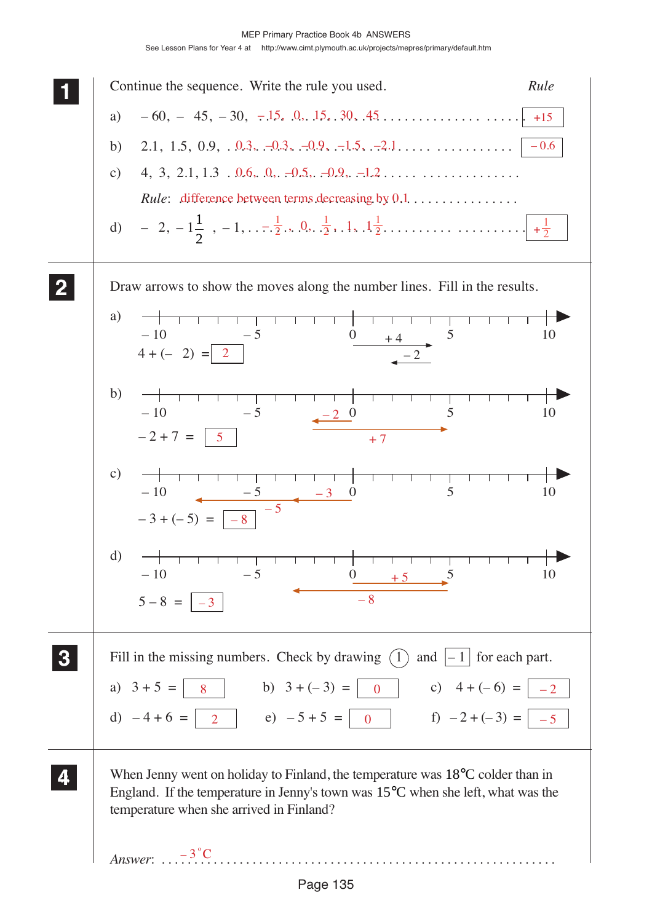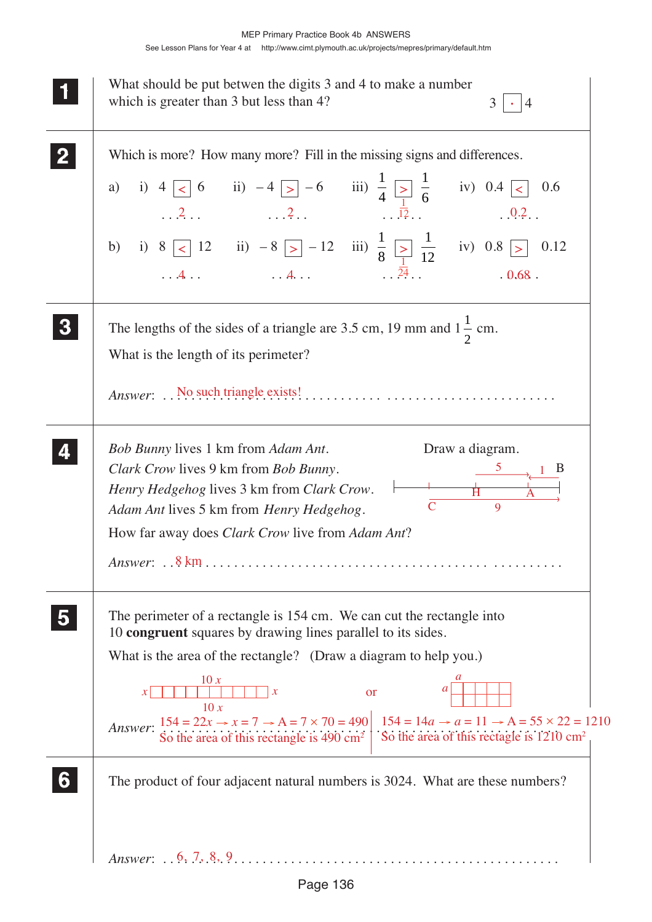| What should be put betwen the digits 3 and 4 to make a number<br>which is greater than 3 but less than 4?<br>3<br>4                                                                                                                                                                                                                                                                                                                                                                    |
|----------------------------------------------------------------------------------------------------------------------------------------------------------------------------------------------------------------------------------------------------------------------------------------------------------------------------------------------------------------------------------------------------------------------------------------------------------------------------------------|
| Which is more? How many more? Fill in the missing signs and differences.                                                                                                                                                                                                                                                                                                                                                                                                               |
| The lengths of the sides of a triangle are 3.5 cm, 19 mm and $1\frac{1}{2}$ cm.<br>What is the length of its perimeter?                                                                                                                                                                                                                                                                                                                                                                |
| Draw a diagram.<br><i>Bob Bunny</i> lives 1 km from <i>Adam Ant</i> .<br>Clark Crow lives 9 km from Bob Bunny.<br>$\rightarrow \begin{array}{c} 1 & B \end{array}$<br>Henry Hedgehog lives 3 km from Clark Crow.<br>$\overline{C}$<br>$\mathbf Q$<br>Adam Ant lives 5 km from Henry Hedgehog.<br>How far away does <i>Clark Crow</i> live from <i>Adam Ant</i> ?<br>Answer: $.8 \text{ km}$                                                                                            |
| The perimeter of a rectangle is 154 cm. We can cut the rectangle into<br>10 congruent squares by drawing lines parallel to its sides.<br>What is the area of the rectangle? (Draw a diagram to help you.)<br>10 x<br>a<br>or<br>10x<br>Answer: $154 = 22x \rightarrow x = 7 \rightarrow A = 7 \times 70 = 490$<br>So the area of this rectangle is 490 cm <sup>2</sup><br>So the area of this rectangle is 490 cm <sup>2</sup><br>So the area of this rectagle is 1210 cm <sup>2</sup> |
| The product of four adjacent natural numbers is 3024. What are these numbers?                                                                                                                                                                                                                                                                                                                                                                                                          |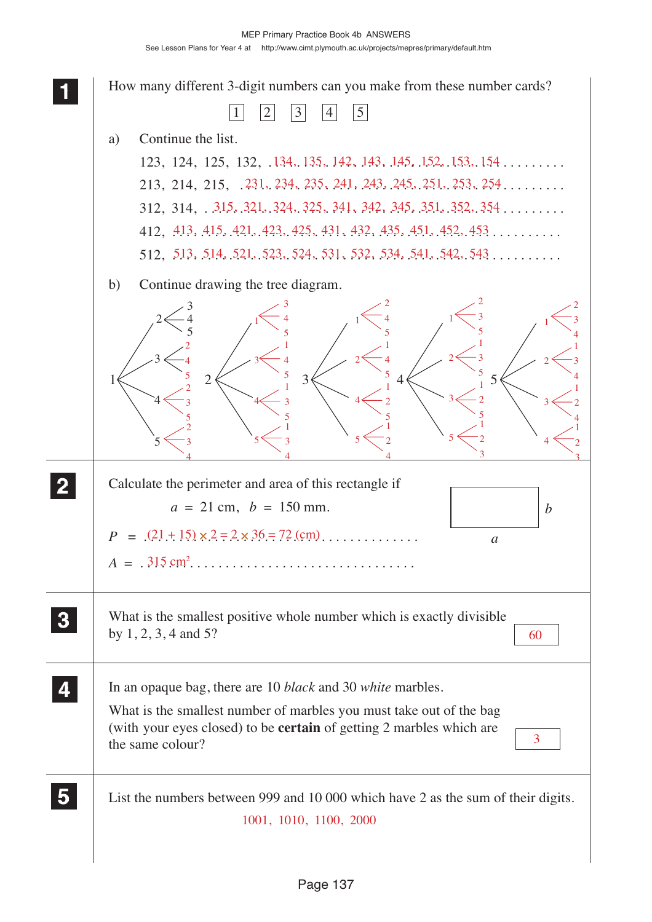How many different 3-digit numbers can you make from these number cards?  $1|2|3|4|5$ a) Continue the list.  $123, 124, 125, 132, 134, 135, 142, 143, 145, 152, 153, 154 \ldots \ldots$  $213, 214, 215, .231, 234, 235, 241, 243, 245, 251, 253, 254. \ldots \ldots$  $312, 314, . .315, .321, .324, .325, .341, .342, .345, .351, .352, .354... \dots$  $412, \frac{413}{15}, \frac{415}{15}, \frac{421}{15}, \frac{423}{15}, \frac{425}{15}, \frac{431}{15}, \frac{432}{15}, \frac{435}{15}, \frac{451}{15}, \frac{452}{15}, \frac{453}{15}, \ldots$  $512, 513, 514, 521, 523, 524, 531, 532, 534, 541, 542, 543 \ldots \ldots$ b) Continue drawing the tree diagram. Calculate the perimeter and area of this rectangle if  $a = 21$  cm,  $b = 150$  mm.  $P = (21 + 15) \times 2 = 2 \times 36 = 72$  (cm) *A* = . . . . . . . . . . . . . . . . . . . . . . . . . . . . . . . . . . . . . . . 315 cm2 What is the smallest positive whole number which is exactly divisible by 1, 2, 3, 4 and 5? In an opaque bag, there are 10 *black* and 30 *white* marbles. What is the smallest number of marbles you must take out of the bag (with your eyes closed) to be **certain** of getting 2 marbles which are the same colour? List the numbers between 999 and 10 000 which have 2 as the sum of their digits.  $2 \times 3 \times 3 \times 4 \times 5$  **11 22** *a b* **33 44 55** 1001, 1010, 1100, 2000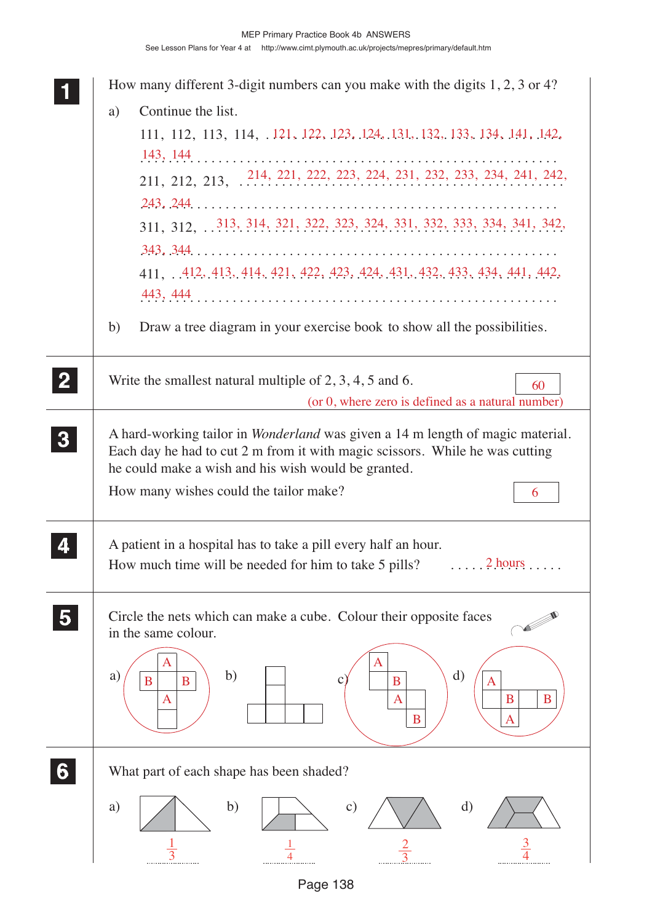| Continue the list.<br>a)<br>111, 112, 113, 114, .121, 122, 123, 124, 131, 132, 133, 134, 141, 142,<br>211, 212, 213, 214, 221, 222, 223, 224, 231, 232, 233, 234, 241, 242,<br>311, 312, 313, 314, 321, 322, 323, 324, 331, 332, 333, 334, 341, 342,<br>411, 412, 413, 414, 421, 422, 423, 424, 431, 432, 433, 434, 441, 442,<br>Draw a tree diagram in your exercise book to show all the possibilities.<br>b)<br>$\mathbf{2}$<br>Write the smallest natural multiple of $2, 3, 4, 5$ and 6.<br>60<br>(or 0, where zero is defined as a natural number)<br>A hard-working tailor in <i>Wonderland</i> was given a 14 m length of magic material.<br>$\boldsymbol{3}$<br>Each day he had to cut 2 m from it with magic scissors. While he was cutting<br>he could make a wish and his wish would be granted.<br>How many wishes could the tailor make?<br>6<br>A patient in a hospital has to take a pill every half an hour. |  |
|-------------------------------------------------------------------------------------------------------------------------------------------------------------------------------------------------------------------------------------------------------------------------------------------------------------------------------------------------------------------------------------------------------------------------------------------------------------------------------------------------------------------------------------------------------------------------------------------------------------------------------------------------------------------------------------------------------------------------------------------------------------------------------------------------------------------------------------------------------------------------------------------------------------------------------|--|
|                                                                                                                                                                                                                                                                                                                                                                                                                                                                                                                                                                                                                                                                                                                                                                                                                                                                                                                               |  |
|                                                                                                                                                                                                                                                                                                                                                                                                                                                                                                                                                                                                                                                                                                                                                                                                                                                                                                                               |  |
|                                                                                                                                                                                                                                                                                                                                                                                                                                                                                                                                                                                                                                                                                                                                                                                                                                                                                                                               |  |
|                                                                                                                                                                                                                                                                                                                                                                                                                                                                                                                                                                                                                                                                                                                                                                                                                                                                                                                               |  |
|                                                                                                                                                                                                                                                                                                                                                                                                                                                                                                                                                                                                                                                                                                                                                                                                                                                                                                                               |  |
|                                                                                                                                                                                                                                                                                                                                                                                                                                                                                                                                                                                                                                                                                                                                                                                                                                                                                                                               |  |
|                                                                                                                                                                                                                                                                                                                                                                                                                                                                                                                                                                                                                                                                                                                                                                                                                                                                                                                               |  |
|                                                                                                                                                                                                                                                                                                                                                                                                                                                                                                                                                                                                                                                                                                                                                                                                                                                                                                                               |  |
|                                                                                                                                                                                                                                                                                                                                                                                                                                                                                                                                                                                                                                                                                                                                                                                                                                                                                                                               |  |
|                                                                                                                                                                                                                                                                                                                                                                                                                                                                                                                                                                                                                                                                                                                                                                                                                                                                                                                               |  |
|                                                                                                                                                                                                                                                                                                                                                                                                                                                                                                                                                                                                                                                                                                                                                                                                                                                                                                                               |  |
|                                                                                                                                                                                                                                                                                                                                                                                                                                                                                                                                                                                                                                                                                                                                                                                                                                                                                                                               |  |
|                                                                                                                                                                                                                                                                                                                                                                                                                                                                                                                                                                                                                                                                                                                                                                                                                                                                                                                               |  |
|                                                                                                                                                                                                                                                                                                                                                                                                                                                                                                                                                                                                                                                                                                                                                                                                                                                                                                                               |  |
|                                                                                                                                                                                                                                                                                                                                                                                                                                                                                                                                                                                                                                                                                                                                                                                                                                                                                                                               |  |
|                                                                                                                                                                                                                                                                                                                                                                                                                                                                                                                                                                                                                                                                                                                                                                                                                                                                                                                               |  |
|                                                                                                                                                                                                                                                                                                                                                                                                                                                                                                                                                                                                                                                                                                                                                                                                                                                                                                                               |  |
| 2 hours<br>How much time will be needed for him to take 5 pills?                                                                                                                                                                                                                                                                                                                                                                                                                                                                                                                                                                                                                                                                                                                                                                                                                                                              |  |
|                                                                                                                                                                                                                                                                                                                                                                                                                                                                                                                                                                                                                                                                                                                                                                                                                                                                                                                               |  |
| Circle the nets which can make a cube. Colour their opposite faces<br>in the same colour.                                                                                                                                                                                                                                                                                                                                                                                                                                                                                                                                                                                                                                                                                                                                                                                                                                     |  |
|                                                                                                                                                                                                                                                                                                                                                                                                                                                                                                                                                                                                                                                                                                                                                                                                                                                                                                                               |  |
| A<br>b)<br>$\rm d)$<br>a)<br>B<br>$\mathbf{C}$<br>B<br>B<br>Α                                                                                                                                                                                                                                                                                                                                                                                                                                                                                                                                                                                                                                                                                                                                                                                                                                                                 |  |
| B<br>B<br>A<br>$\mathbf{A}$                                                                                                                                                                                                                                                                                                                                                                                                                                                                                                                                                                                                                                                                                                                                                                                                                                                                                                   |  |
| $\bf{B}$<br>A                                                                                                                                                                                                                                                                                                                                                                                                                                                                                                                                                                                                                                                                                                                                                                                                                                                                                                                 |  |
|                                                                                                                                                                                                                                                                                                                                                                                                                                                                                                                                                                                                                                                                                                                                                                                                                                                                                                                               |  |
| What part of each shape has been shaded?                                                                                                                                                                                                                                                                                                                                                                                                                                                                                                                                                                                                                                                                                                                                                                                                                                                                                      |  |
| $\mathbf{b}$<br>d)<br>a)<br>$\mathbf{c})$                                                                                                                                                                                                                                                                                                                                                                                                                                                                                                                                                                                                                                                                                                                                                                                                                                                                                     |  |
|                                                                                                                                                                                                                                                                                                                                                                                                                                                                                                                                                                                                                                                                                                                                                                                                                                                                                                                               |  |
|                                                                                                                                                                                                                                                                                                                                                                                                                                                                                                                                                                                                                                                                                                                                                                                                                                                                                                                               |  |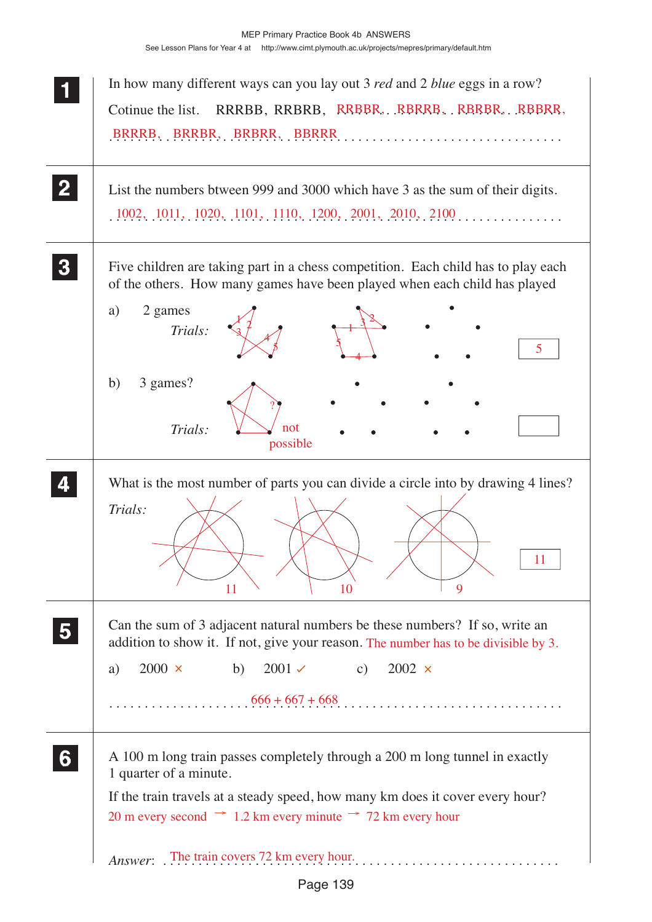| In how many different ways can you lay out 3 <i>red</i> and 2 <i>blue</i> eggs in a row?<br>RRRBB, RRBRB, RRBBR, RBRRB, RBRBR, RBBRR,<br>Cotinue the list.                                                                                                                                                                 |
|----------------------------------------------------------------------------------------------------------------------------------------------------------------------------------------------------------------------------------------------------------------------------------------------------------------------------|
| List the numbers btween 999 and 3000 which have 3 as the sum of their digits.<br>$1002, 1011, 1020, 1101, 1110, 1200, 2001, 2010, 2100, \ldots$                                                                                                                                                                            |
| Five children are taking part in a chess competition. Each child has to play each<br>of the others. How many games have been played when each child has played<br>2 games<br>a)<br>Trials:<br>5.<br>3 games?<br>b)<br>Trials:<br>not<br>possible                                                                           |
| What is the most number of parts you can divide a circle into by drawing 4 lines?<br>Trials:<br>11<br>10<br>9<br>11                                                                                                                                                                                                        |
| Can the sum of 3 adjacent natural numbers be these numbers? If so, write an<br>addition to show it. If not, give your reason. The number has to be divisible by 3.<br>$2000 \times$<br>$2001 \checkmark$<br>$2002 \times$<br>b)<br>$\mathbf{c})$<br>a)                                                                     |
| A 100 m long train passes completely through a 200 m long tunnel in exactly<br>1 quarter of a minute.<br>If the train travels at a steady speed, how many km does it cover every hour?<br>20 m every second $\rightarrow$ 1.2 km every minute $\rightarrow$ 72 km every hour<br>Answer: The train covers 72 km every hour. |